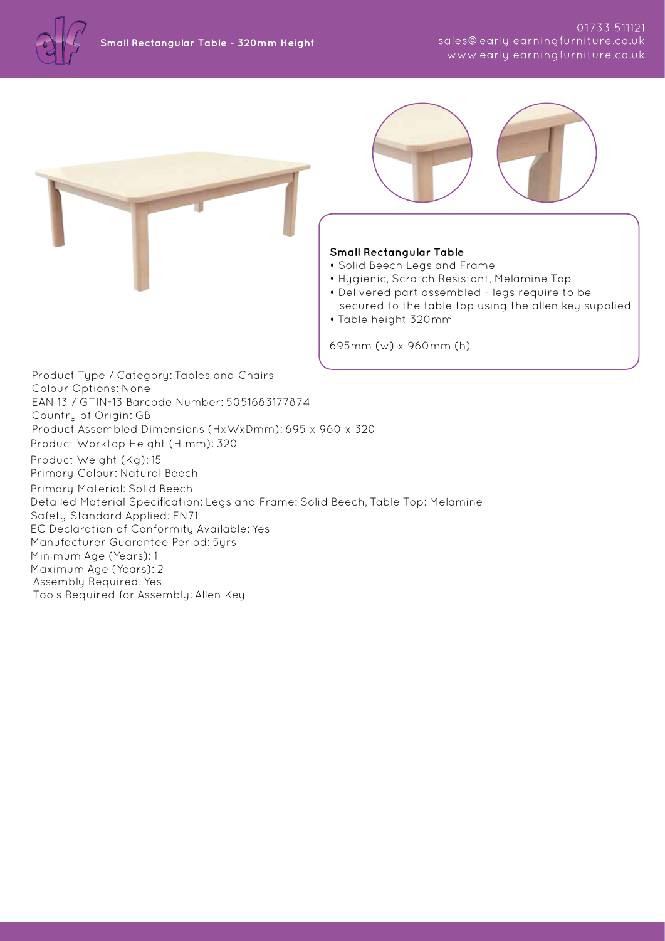





## **Small Rectangular Table**

- Solid Beech Legs and Frame
- Hygienic, Scratch Resistant, Melamine Top
- Delivered part assembled legs require to be secured to the table top using the allen key supplied
- Table height 320mm

695mm (w) x 960mm (h)

Product Type / Category: Tables and Chairs Colour Options: None EAN 13 / GTIN-13 Barcode Number: 5051683177874 Country of Origin: GB Product Assembled Dimensions (HxWxDmm): 695 x 960 x 320 Product Worktop Height (H mm): 320 Product Weight (Kg): 15 Primary Colour: Natural Beech Primary Material: Solid Beech Detailed Material Specification: Legs and Frame: Solid Beech, Table Top: Melamine Safety Standard Applied: EN71 EC Declaration of Conformity Available: Yes Manufacturer Guarantee Period: 5yrs Minimum Age (Years): 1 Maximum Age (Years): 2 Assembly Required: Yes Tools Required for Assembly: Allen Key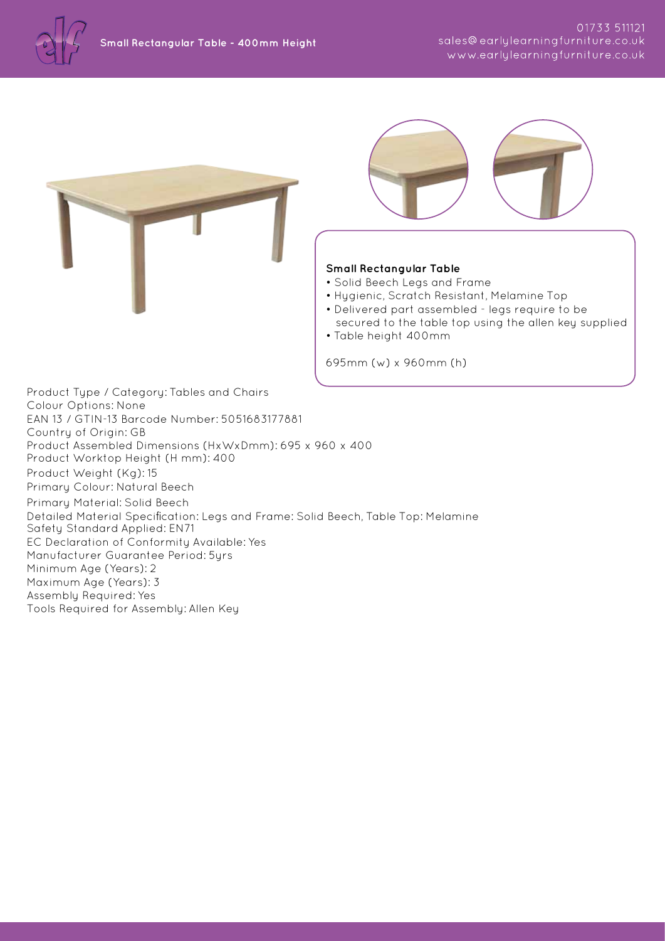



## **Small Rectangular Table**

- Solid Beech Legs and Frame
- Hygienic, Scratch Resistant, Melamine Top
- Delivered part assembled legs require to be
- secured to the table top using the allen key supplied • Table height 400mm

695mm (w) x 960mm (h)

Product Type / Category: Tables and Chairs Colour Options: None EAN 13 / GTIN-13 Barcode Number: 5051683177881 Country of Origin: GB Product Assembled Dimensions (HxWxDmm): 695 x 960 x 400 Product Worktop Height (H mm): 400 Product Weight (Kg): 15 Primary Colour: Natural Beech Primary Material: Solid Beech Detailed Material Specification: Legs and Frame: Solid Beech, Table Top: Melamine Safety Standard Applied: EN71 EC Declaration of Conformity Available: Yes Manufacturer Guarantee Period: 5yrs Minimum Age (Years): 2 Maximum Age (Years): 3 Assembly Required: Yes Tools Required for Assembly: Allen Key